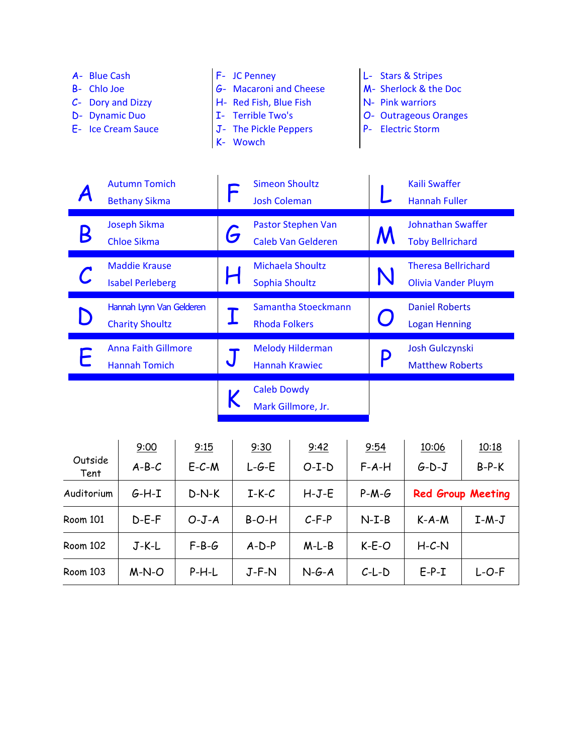

Mark Gillmore, Jr.

|                 | 9:00    | 9:15        | 9:30    | 9:42    | 9:54    | 10:06                    | 10:18   |
|-----------------|---------|-------------|---------|---------|---------|--------------------------|---------|
| Outside<br>Tent | $A-B-C$ | $E - C - M$ | $L-G-E$ | $O-I-D$ | $F-A-H$ | $G-D-J$                  | $B-P-K$ |
| Auditorium      | $G-H-I$ | $D-N-K$     | $I-K-C$ | $H-J-E$ | $P-M-G$ | <b>Red Group Meeting</b> |         |
| <b>Room 101</b> | $D-E-F$ | $O-J-A$     | $B-O-H$ | $C-F-P$ | $N-I-B$ | $K-A-M$                  | $I-M-J$ |
| <b>Room 102</b> | $J-K-L$ | $F-B-G$     | $A-D-P$ | $M-L-B$ | $K-E-O$ | $H-C-N$                  |         |
| Room 103        | $M-N-O$ | $P-H-L$     | $J-F-N$ | $N-G-A$ | $C-L-D$ | $E-P-I$                  | $L-O-F$ |